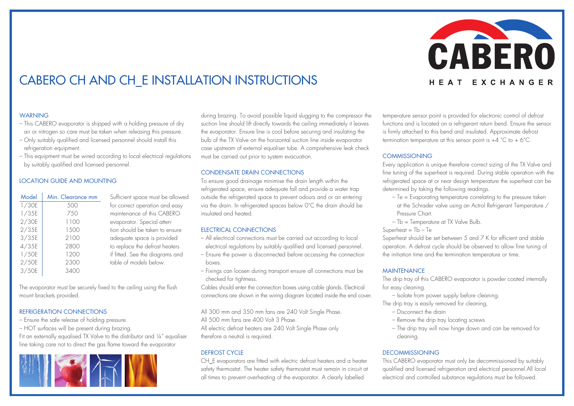

# CABERO CH and CH\_E Installation Instructions

# **WARNING**

- This CABERO evaporator is shipped with a holding pressure of dry air or nitrogen so care must be taken when releasing this pressure.
- Only suitably qualified and licensed personnel should install this refrigeration equipment.
- This equipment must be wired according to local electrical regulations by suitably qualified and licensed personnel.

# Location Guide and Mounting

| Model | Min. Clearance mm | Sufficient space must be allowed |
|-------|-------------------|----------------------------------|
| 1/30E | 500               | for correct operation and easy   |
| 1/35E | 750               | maintenance of this CABERO       |
| 2/30E | 1100              | evaporator. Special atten-       |
| 2/35E | 1.500             | tion should be taken to ensure   |
| 3/35E | 2100              | adequate space is provided       |
| 4/35E | 2800              | to replace the defrost heaters   |
| 1/50E | 1200              | if fitted. See the diagrams and  |
| 2/50E | 2300              | table of models below.           |
| 3/50E | 3400              |                                  |

The evaporator must be securely fixed to the ceiling using the flush mount brackets provided.

# Refrigeration Connections

- Ensure the safe release of holding pressure.
- HOT surfaces will be present during brazing.

Fit an externally equalised TX Valve to the distributor and ¼" equaliser line taking care not to direct the gas flame toward the evaporator



during brazing. To avoid possible liquid slugging to the compressor the suction line should lift directly towards the ceiling immediately it leaves the evaporator. Ensure line is cool before securing and insulating the bulb of the TX Valve on the horizontal suction line inside evaporator case upstream of external equaliser tube. A comprehensive leak check must be carried out prior to system evacuation.

## Condensate Drain Connections

To ensure good drainage minimise the drain length within the refrigerated space, ensure adequate fall and provide a water trap outside the refrigerated space to prevent odours and or air entering via the drain. In refrigerated spaces below 0˚C the drain should be insulated and heated.

# Electrical Connections

- All electrical connections must be carried out according to local electrical regulations by suitably qualified and licensed personnel.
- Ensure the power is disconnected before accessing the connection boxes.
- Fixings can loosen during transport ensure all connections must be checked for tightness.

Cables should enter the connection boxes using cable glands. Electrical connections are shown in the wiring diagram located inside the end cover.

All 300 mm and 350 mm fans are 240 Volt Single Phase.

All 500 mm fans are 400 Volt 3 Phase.

All electric defrost heaters are 240 Volt Single Phase only therefore a neutral is required.

# DEFROST CYCLE

CH\_E evaporators are fitted with electric defrost heaters and a heater safety thermostat. The heater safety thermostat must remain in circuit at all times to prevent overheating of the evaporator. A clearly labelled

temperature sensor point is provided for electronic control of defrost functions and is located on a refrigerant return bend. Ensure the sensor is firmly attached to this bend and insulated. Approximate defrost termination temperature at this sensor point is  $+4$  °C to  $+6$ °C.

# **COMMISSIONING**

Every application is unique therefore correct sizing of the TX Valve and fine tuning of the superheat is required. During stable operation with the refrigerated space at or near design temperature the superheat can be determined by taking the following readings.

- Te = Evaporating temperature correlating to the pressure taken
- at the Schrader valve using an Actrol Refrigerant Temperature / Pressure Chart.
- Tb = Temperature at TX Valve Bulb.

## Superheat  $=$  Tb  $-$  Te

Superheat should be set between 5 and 7 K for efficient and stable operation. A defrost cycle should be observed to allow fine tuning of the initiation time and the termination temperature or time.

# **MAINTFNANCF**

The drip tray of this CABERO evaporator is powder coated internally for easy cleaning.

- Isolate from power supply before cleaning.
- The drip tray is easily removed for cleaning,
	- Disconnect the drain
	- Remove the drip tray locating screws
	- The drip tray will now hinge down and can be removed for cleaning.

# **DECOMMISSIONING**

This CABERO evaporator must only be decommissioned by suitably qualified and licensed refrigeration and electrical personnel.All local electrical and controlled substance regulations must be followed.